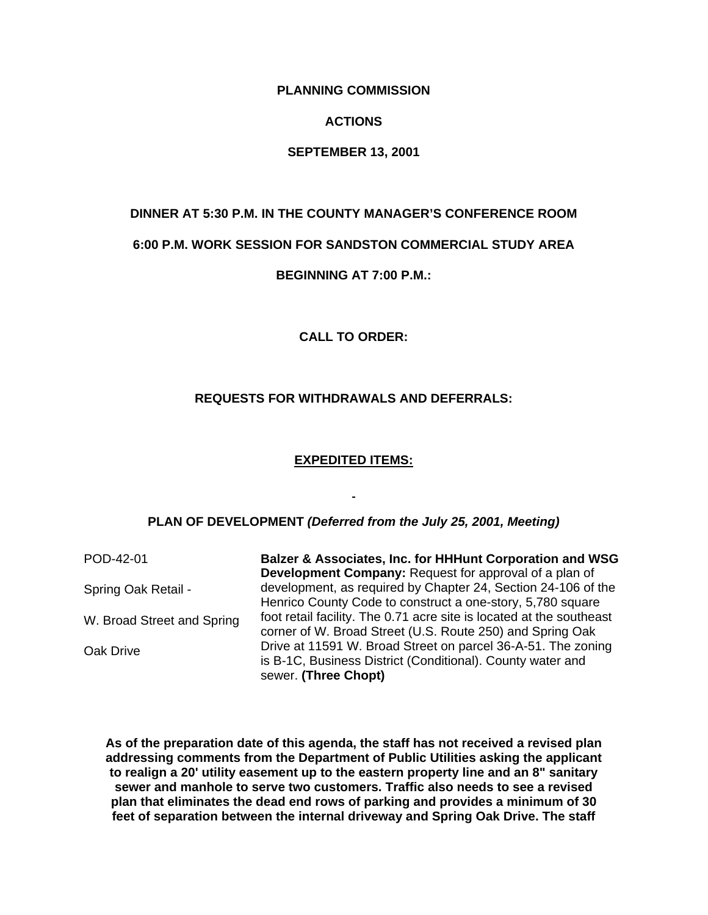**PLANNING COMMISSION** 

#### **ACTIONS**

#### **SEPTEMBER 13, 2001**

# **DINNER AT 5:30 P.M. IN THE COUNTY MANAGER'S CONFERENCE ROOM**

#### **6:00 P.M. WORK SESSION FOR SANDSTON COMMERCIAL STUDY AREA**

#### **BEGINNING AT 7:00 P.M.:**

**CALL TO ORDER:** 

#### **REQUESTS FOR WITHDRAWALS AND DEFERRALS:**

#### **EXPEDITED ITEMS:**

#### **PLAN OF DEVELOPMENT** *(Deferred from the July 25, 2001, Meeting)*

POD-42-01 Spring Oak Retail - W. Broad Street and Spring Oak Drive **Balzer & Associates, Inc. for HHHunt Corporation and WSG Development Company:** Request for approval of a plan of development, as required by Chapter 24, Section 24-106 of the Henrico County Code to construct a one-story, 5,780 square foot retail facility. The 0.71 acre site is located at the southeast corner of W. Broad Street (U.S. Route 250) and Spring Oak Drive at 11591 W. Broad Street on parcel 36-A-51. The zoning is B-1C, Business District (Conditional). County water and sewer. **(Three Chopt)**

**As of the preparation date of this agenda, the staff has not received a revised plan addressing comments from the Department of Public Utilities asking the applicant to realign a 20' utility easement up to the eastern property line and an 8" sanitary sewer and manhole to serve two customers. Traffic also needs to see a revised plan that eliminates the dead end rows of parking and provides a minimum of 30 feet of separation between the internal driveway and Spring Oak Drive. The staff**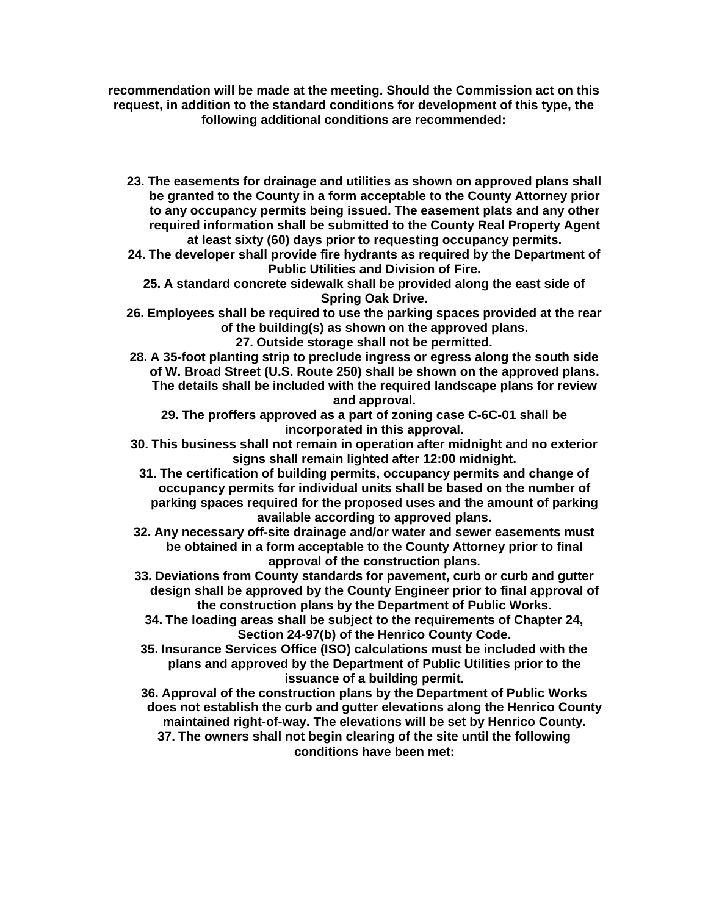**recommendation will be made at the meeting. Should the Commission act on this request, in addition to the standard conditions for development of this type, the following additional conditions are recommended:** 

**23. The easements for drainage and utilities as shown on approved plans shall be granted to the County in a form acceptable to the County Attorney prior to any occupancy permits being issued. The easement plats and any other required information shall be submitted to the County Real Property Agent at least sixty (60) days prior to requesting occupancy permits.** 

**24. The developer shall provide fire hydrants as required by the Department of Public Utilities and Division of Fire.** 

**25. A standard concrete sidewalk shall be provided along the east side of Spring Oak Drive.** 

**26. Employees shall be required to use the parking spaces provided at the rear of the building(s) as shown on the approved plans.** 

**27. Outside storage shall not be permitted.** 

**28. A 35-foot planting strip to preclude ingress or egress along the south side of W. Broad Street (U.S. Route 250) shall be shown on the approved plans. The details shall be included with the required landscape plans for review and approval.** 

**29. The proffers approved as a part of zoning case C-6C-01 shall be incorporated in this approval.** 

- **30. This business shall not remain in operation after midnight and no exterior signs shall remain lighted after 12:00 midnight.** 
	- **31. The certification of building permits, occupancy permits and change of occupancy permits for individual units shall be based on the number of parking spaces required for the proposed uses and the amount of parking available according to approved plans.**

**32. Any necessary off-site drainage and/or water and sewer easements must be obtained in a form acceptable to the County Attorney prior to final approval of the construction plans.** 

**33. Deviations from County standards for pavement, curb or curb and gutter design shall be approved by the County Engineer prior to final approval of the construction plans by the Department of Public Works.** 

**34. The loading areas shall be subject to the requirements of Chapter 24, Section 24-97(b) of the Henrico County Code.** 

**35. Insurance Services Office (ISO) calculations must be included with the plans and approved by the Department of Public Utilities prior to the issuance of a building permit.** 

**36. Approval of the construction plans by the Department of Public Works does not establish the curb and gutter elevations along the Henrico County maintained right-of-way. The elevations will be set by Henrico County. 37. The owners shall not begin clearing of the site until the following conditions have been met:**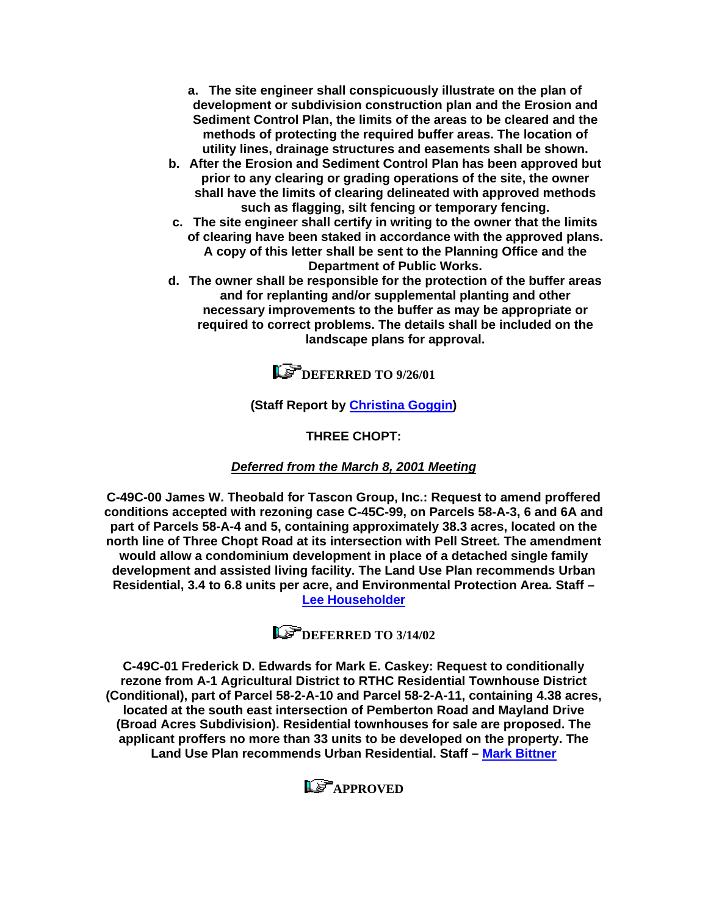**a. The site engineer shall conspicuously illustrate on the plan of development or subdivision construction plan and the Erosion and Sediment Control Plan, the limits of the areas to be cleared and the methods of protecting the required buffer areas. The location of utility lines, drainage structures and easements shall be shown.** 

- **b. After the Erosion and Sediment Control Plan has been approved but prior to any clearing or grading operations of the site, the owner shall have the limits of clearing delineated with approved methods such as flagging, silt fencing or temporary fencing.**
- **c. The site engineer shall certify in writing to the owner that the limits of clearing have been staked in accordance with the approved plans. A copy of this letter shall be sent to the Planning Office and the Department of Public Works.**
- **d. The owner shall be responsible for the protection of the buffer areas and for replanting and/or supplemental planting and other necessary improvements to the buffer as may be appropriate or required to correct problems. The details shall be included on the landscape plans for approval.**



## **(Staff Report by [Christina Goggin\)](mailto:gog@co.henrico.va.us)**

**THREE CHOPT:** 

## *Deferred from the March 8, 2001 Meeting*

**C-49C-00 James W. Theobald for Tascon Group, Inc.: Request to amend proffered conditions accepted with rezoning case C-45C-99, on Parcels 58-A-3, 6 and 6A and part of Parcels 58-A-4 and 5, containing approximately 38.3 acres, located on the north line of Three Chopt Road at its intersection with Pell Street. The amendment would allow a condominium development in place of a detached single family development and assisted living facility. The Land Use Plan recommends Urban Residential, 3.4 to 6.8 units per acre, and Environmental Protection Area. Staff – [Lee Householder](mailto:hou10@co.henrico.va.us)**

**DEFERRED TO 3/14/02** 

**C-49C-01 Frederick D. Edwards for Mark E. Caskey: Request to conditionally rezone from A-1 Agricultural District to RTHC Residential Townhouse District (Conditional), part of Parcel 58-2-A-10 and Parcel 58-2-A-11, containing 4.38 acres, located at the south east intersection of Pemberton Road and Mayland Drive (Broad Acres Subdivision). Residential townhouses for sale are proposed. The applicant proffers no more than 33 units to be developed on the property. The Land Use Plan recommends Urban Residential. Staff – [Mark Bittner](mailto:bit10@co.henrico.va.us)**

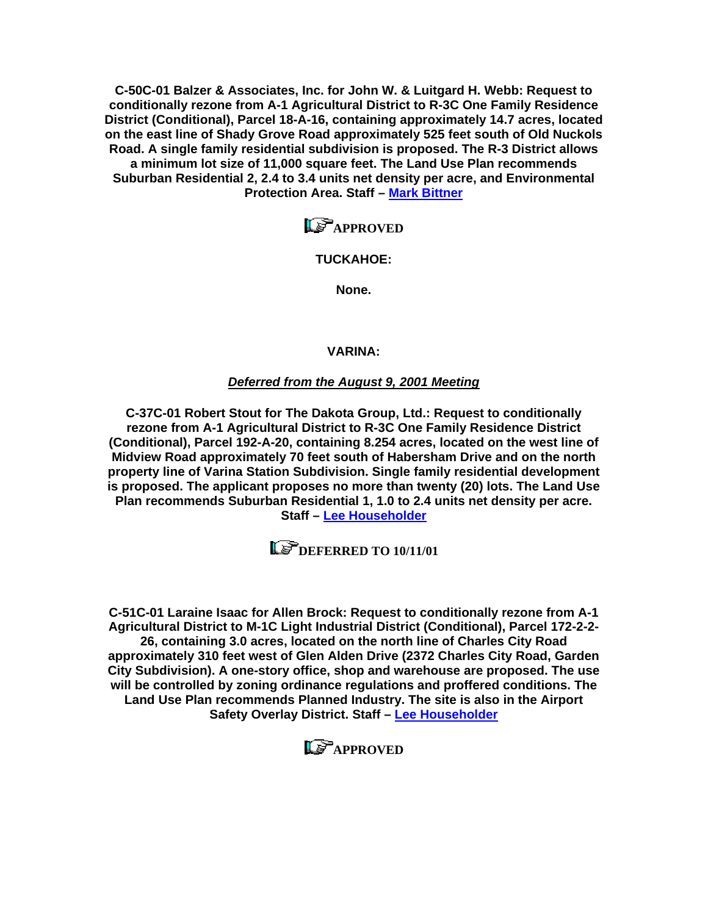**C-50C-01 Balzer & Associates, Inc. for John W. & Luitgard H. Webb: Request to conditionally rezone from A-1 Agricultural District to R-3C One Family Residence District (Conditional), Parcel 18-A-16, containing approximately 14.7 acres, located on the east line of Shady Grove Road approximately 525 feet south of Old Nuckols Road. A single family residential subdivision is proposed. The R-3 District allows a minimum lot size of 11,000 square feet. The Land Use Plan recommends Suburban Residential 2, 2.4 to 3.4 units net density per acre, and Environmental Protection Area. Staff – [Mark Bittner](mailto:bit10@co.henrico.va.us)**

**LS**APPROVED

### **TUCKAHOE:**

**None.** 

#### **VARINA:**

#### *Deferred from the August 9, 2001 Meeting*

**C-37C-01 Robert Stout for The Dakota Group, Ltd.: Request to conditionally rezone from A-1 Agricultural District to R-3C One Family Residence District (Conditional), Parcel 192-A-20, containing 8.254 acres, located on the west line of Midview Road approximately 70 feet south of Habersham Drive and on the north property line of Varina Station Subdivision. Single family residential development is proposed. The applicant proposes no more than twenty (20) lots. The Land Use Plan recommends Suburban Residential 1, 1.0 to 2.4 units net density per acre. Staff – [Lee Householder](mailto:hou10@co.henrico.va.us)**

**LE DEFERRED TO 10/11/01** 

**C-51C-01 Laraine Isaac for Allen Brock: Request to conditionally rezone from A-1 Agricultural District to M-1C Light Industrial District (Conditional), Parcel 172-2-2- 26, containing 3.0 acres, located on the north line of Charles City Road approximately 310 feet west of Glen Alden Drive (2372 Charles City Road, Garden City Subdivision). A one-story office, shop and warehouse are proposed. The use will be controlled by zoning ordinance regulations and proffered conditions. The Land Use Plan recommends Planned Industry. The site is also in the Airport Safety Overlay District. Staff – [Lee Householder](mailto:hou10@co.henrico.va.us)**

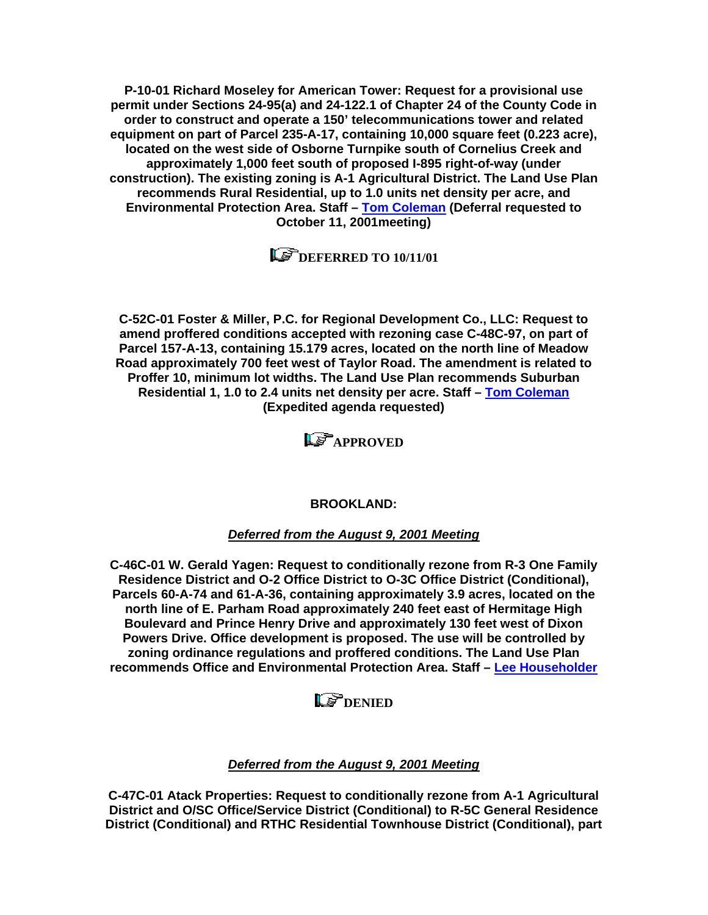**P-10-01 Richard Moseley for American Tower: Request for a provisional use permit under Sections 24-95(a) and 24-122.1 of Chapter 24 of the County Code in order to construct and operate a 150' telecommunications tower and related equipment on part of Parcel 235-A-17, containing 10,000 square feet (0.223 acre), located on the west side of Osborne Turnpike south of Cornelius Creek and approximately 1,000 feet south of proposed I-895 right-of-way (under construction). The existing zoning is A-1 Agricultural District. The Land Use Plan recommends Rural Residential, up to 1.0 units net density per acre, and Environmental Protection Area. Staff – [Tom Coleman](mailto:col09@co.henrico.va.us) (Deferral requested to October 11, 2001meeting)** 

 $\mathbf{D}$  DEFERRED TO 10/11/01

**C-52C-01 Foster & Miller, P.C. for Regional Development Co., LLC: Request to amend proffered conditions accepted with rezoning case C-48C-97, on part of Parcel 157-A-13, containing 15.179 acres, located on the north line of Meadow Road approximately 700 feet west of Taylor Road. The amendment is related to Proffer 10, minimum lot widths. The Land Use Plan recommends Suburban Residential 1, 1.0 to 2.4 units net density per acre. Staff – [Tom Coleman](mailto:col09@co.henrico.va.us) (Expedited agenda requested)** 

**LS**APPROVED

**BROOKLAND:** 

*Deferred from the August 9, 2001 Meeting*

**C-46C-01 W. Gerald Yagen: Request to conditionally rezone from R-3 One Family Residence District and O-2 Office District to O-3C Office District (Conditional), Parcels 60-A-74 and 61-A-36, containing approximately 3.9 acres, located on the north line of E. Parham Road approximately 240 feet east of Hermitage High Boulevard and Prince Henry Drive and approximately 130 feet west of Dixon Powers Drive. Office development is proposed. The use will be controlled by zoning ordinance regulations and proffered conditions. The Land Use Plan recommends Office and Environmental Protection Area. Staff – [Lee Householder](mailto:hou10@co.henrico.va.us)** 

# **LS** DENIED

## *Deferred from the August 9, 2001 Meeting*

**C-47C-01 Atack Properties: Request to conditionally rezone from A-1 Agricultural District and O/SC Office/Service District (Conditional) to R-5C General Residence District (Conditional) and RTHC Residential Townhouse District (Conditional), part**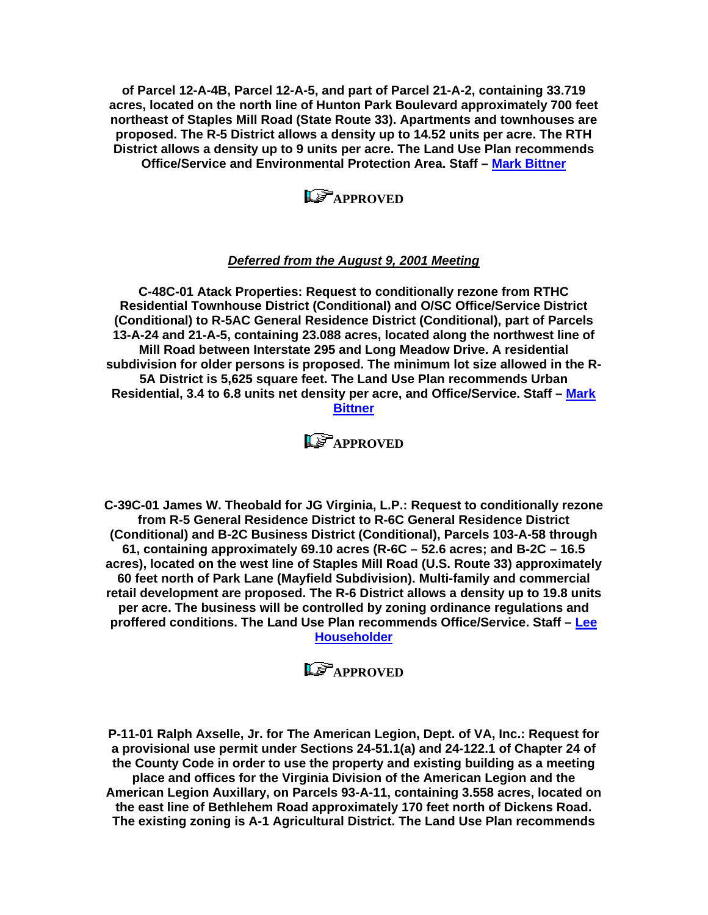**of Parcel 12-A-4B, Parcel 12-A-5, and part of Parcel 21-A-2, containing 33.719**  acres, located on the north line of Hunton Park Boulevard approximately 700 feet **northeast of Staples Mill Road (State Route 33). Apartments and townhouses are proposed. The R-5 District allows a density up to 14.52 units per acre. The RTH District allows a density up to 9 units per acre. The Land Use Plan recommends Office/Service and Environmental Protection Area. Staff – [Mark Bittner](mailto:bit10@co.henrico.va.us)** 

**LP**APPROVED

#### *Deferred from the August 9, 2001 Meeting*

**C-48C-01 Atack Properties: Request to conditionally rezone from RTHC Residential Townhouse District (Conditional) and O/SC Office/Service District ( Conditional) to R-5AC General Residence District (Conditional), part of Parcels** subdivision for older persons is proposed. The minimum lot size allowed in the R-**Residential, 3.4 to 6.8 units net density per acre, and Office/Service. Staff – [M](mailto:bit10@co.henrico.va.us)ark 13-A-24 and 21-A-5, containing 23.088 acres, located along the northwest line of Mill Road between Interstate 295 and Long Meadow Drive. A residential 5A District is 5,625 square feet. The Land Use Plan recommends Urban [Bittner](mailto:bit10@co.henrico.va.us)** 



**C-39C-01 James W. Theobald for JG Virginia, L.P.: Request to conditionally rezone**  (Conditional) and B-2C Business District (Conditional), Parcels 103-A-58 through acres), located on the west line of Staples Mill Road (U.S. Route 33) approximately **re tail development are proposed. The R-6 District allows a density up to 19.8 units p roffered conditions. The Land Use Plan recommends Office/Service. Staff – [Lee](mailto:hou10@co.henrico.va.us) from R-5 General Residence District to R-6C General Residence District 61, containing approximately 69.10 acres (R-6C – 52.6 acres; and B-2C – 16.5 60 feet north of Park Lane (Mayfield Subdivision). Multi-family and commercial per acre. The business will be controlled by zoning ordinance regulations and [Householder](mailto:hou10@co.henrico.va.us)** 

**Le** APPROVED

**P-11-01 Ralph Axselle, Jr. for The American Legion, Dept. of VA, Inc.: Request for**  American Legion Auxillary, on Parcels 93-A-11, containing 3.558 acres, located on **a provisional use permit under Sections 24-51.1(a) and 24-122.1 of Chapter 24 of the County Code in order to use the property and existing building as a meeting place and offices for the Virginia Division of the American Legion and the the east line of Bethlehem Road approximately 170 feet north of Dickens Road. The existing zoning is A-1 Agricultural District. The Land Use Plan recommends**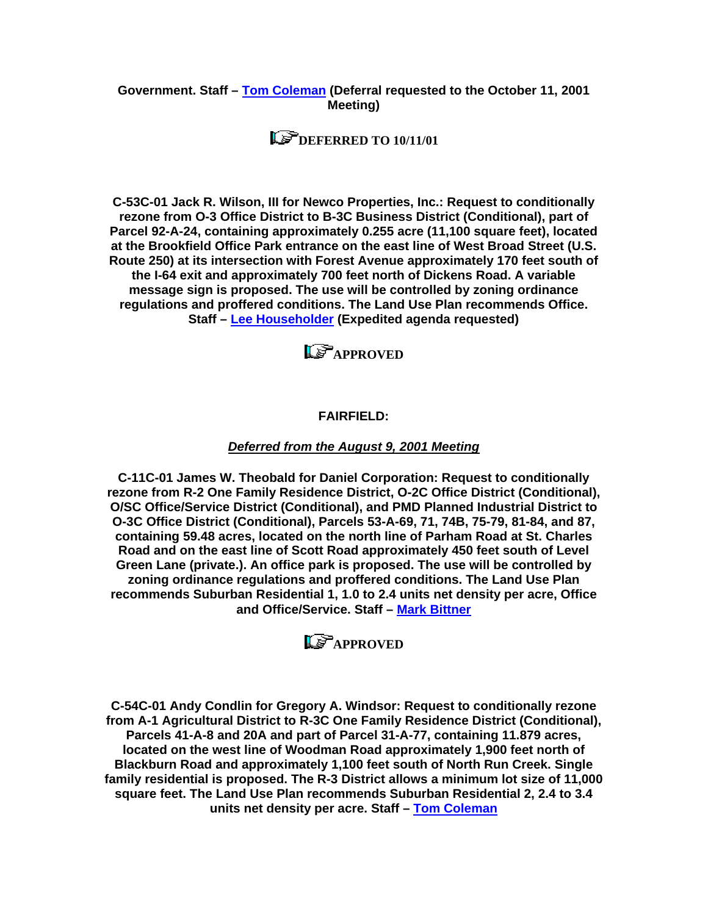#### **Government. Staff – [Tom Coleman](mailto:col09@co.henrico.va.us) (Deferral requested to the October 11, 2001 Meeting)**

# **DEFERRED TO 10/11/01**

**C-53C-01 Jack R. Wilson, III for Newco Properties, Inc.: Request to conditionally P arcel 92-A-24, containing approximately 0.255 acre (11,100 square feet), located regulations and proffered conditions. The Land Use Plan recommends Office. rezone from O-3 Office District to B-3C Business District (Conditional), part of at the Brookfield Office Park entrance on the east line of West Broad Street (U.S. Route 250) at its intersection with Forest Avenue approximately 170 feet south of the I-64 exit and approximately 700 feet north of Dickens Road. A variable message sign is proposed. The use will be controlled by zoning ordinance Staff – [Lee Householder](mailto:hou10@co.henrico.va.us) (Expedited agenda requested)** 

**Le** APPROVED

#### **FAIRFIELD:**

#### *Deferred from the August 9, 2001 Meeting*

**C-11C-01 James W. Theobald for Daniel Corporation: Request to conditionally**  rezone from R-2 One Family Residence District, O-2C Office District (Conditional), recommends Suburban Residential 1, 1.0 to 2.4 units net density per acre, Office **O/SC Office/Service District (Conditional), and PMD Planned Industrial District to O-3C Office District (Conditional), Parcels 53-A-69, 71, 74B, 75-79, 81-84, and 87, containing 59.48 acres, located on the north line of Parham Road at St. Charles Road and on the east line of Scott Road approximately 450 feet south of Level Green Lane (private.). An office park is proposed. The use will be controlled by zoning ordinance regulations and proffered conditions. The Land Use Plan and Office/Service. Staff – [Mark Bittner](mailto:bit10@co.henrico.va.us)** 

**LP**APPROVED

**C-54C-01 Andy Condlin for Gregory A. Windsor: Request to conditionally rezone f rom A-1 Agricultural District to R-3C One Family Residence District (Conditional), B lackburn Road and approximately 1,100 feet south of North Run Creek. Single fa mily residential is proposed. The R-3 District allows a minimum lot size of 11,000 Parcels 41-A-8 and 20A and part of Parcel 31-A-77, containing 11.879 acres, located on the west line of Woodman Road approximately 1,900 feet north of square feet. The Land Use Plan recommends Suburban Residential 2, 2.4 to 3.4 units net density per acre. Staff – [Tom Coleman](mailto:col09@co.henrico.va.us)**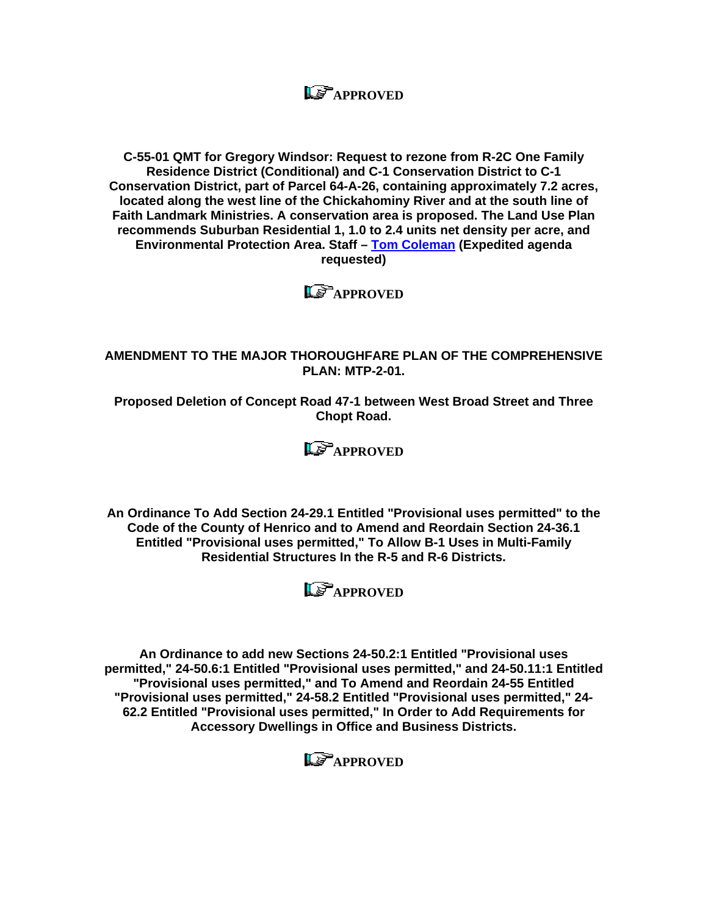# **LE** APPROVED

**C-55-01 QMT for Gregory Windsor: Request to rezone from R-2C One Family Residence District (Conditional) and C-1 Conservation District to C-1 Conservation District, part of Parcel 64-A-26, containing approximately 7.2 acres, located along the west line of the Chickahominy River and at the south line of Faith Landmark Ministries. A conservation area is proposed. The Land Use Plan recommends Suburban Residential 1, 1.0 to 2.4 units net density per acre, and Environmental Protection Area. Staff – [Tom Coleman](mailto:col09@co.henrico.va.us) (Expedited agenda requested)** 



#### **AMENDMENT TO THE MAJOR THOROUGHFARE PLAN OF THE COMPREHENSIVE PLAN: MTP-2-01.**

**Proposed Deletion of Concept Road 47-1 between West Broad Street and Three Chopt Road.** 



**An Ordinance To Add Section 24-29.1 Entitled "Provisional uses permitted" to the Code of the County of Henrico and to Amend and Reordain Section 24-36.1 Entitled "Provisional uses permitted," To Allow B-1 Uses in Multi-Family Residential Structures In the R-5 and R-6 Districts.** 



**An Ordinance to add new Sections 24-50.2:1 Entitled "Provisional uses permitted," 24-50.6:1 Entitled "Provisional uses permitted," and 24-50.11:1 Entitled "Provisional uses permitted," and To Amend and Reordain 24-55 Entitled "Provisional uses permitted," 24-58.2 Entitled "Provisional uses permitted," 24- 62.2 Entitled "Provisional uses permitted," In Order to Add Requirements for Accessory Dwellings in Office and Business Districts.**